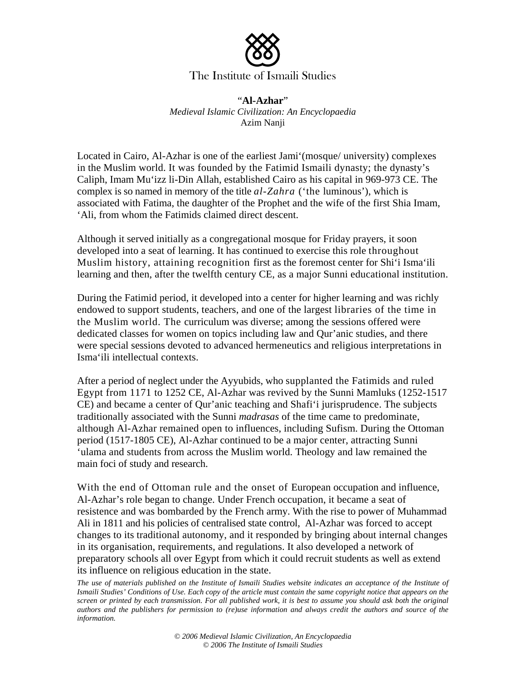

## The Institute of Ismaili Studies

"**Al-Azhar**" *Medieval Islamic Civilization: An Encyclopaedia* Azim Nanji

Located in Cairo, Al-Azhar is one of the earliest Jami'(mosque/ university) complexes in the Muslim world. It was founded by the Fatimid Ismaili dynasty; the dynasty's Caliph, Imam Mu'izz li-Din Allah, established Cairo as his capital in 969-973 CE. The complex is so named in memory of the title *al-Zahra* ('the luminous'), which is associated with Fatima, the daughter of the Prophet and the wife of the first Shia Imam, 'Ali, from whom the Fatimids claimed direct descent.

Although it served initially as a congregational mosque for Friday prayers, it soon developed into a seat of learning. It has continued to exercise this role throughout Muslim history, attaining recognition first as the foremost center for Shi'i Isma'ili learning and then, after the twelfth century CE, as a major Sunni educational institution.

During the Fatimid period, it developed into a center for higher learning and was richly endowed to support students, teachers, and one of the largest libraries of the time in the Muslim world. The curriculum was diverse; among the sessions offered were dedicated classes for women on topics including law and Qur'anic studies, and there were special sessions devoted to advanced hermeneutics and religious interpretations in Isma'ili intellectual contexts.

After a period of neglect under the Ayyubids, who supplanted the Fatimids and ruled Egypt from 1171 to 1252 CE, Al-Azhar was revived by the Sunni Mamluks (1252-1517 CE) and became a center of Qur'anic teaching and Shafi'i jurisprudence. The subjects traditionally associated with the Sunni *madrasas* of the time came to predominate, although Al-Azhar remained open to influences, including Sufism. During the Ottoman period (1517-1805 CE), Al-Azhar continued to be a major center, attracting Sunni 'ulama and students from across the Muslim world. Theology and law remained the main foci of study and research.

With the end of Ottoman rule and the onset of European occupation and influence, Al-Azhar's role began to change. Under French occupation, it became a seat of resistence and was bombarded by the French army. With the rise to power of Muhammad Ali in 1811 and his policies of centralised state control, Al-Azhar was forced to accept changes to its traditional autonomy, and it responded by bringing about internal changes in its organisation, requirements, and regulations. It also developed a network of preparatory schools all over Egypt from which it could recruit students as well as extend its influence on religious education in the state.

The use of materials published on the Institute of Ismaili Studies website indicates an acceptance of the Institute of *Ismaili Studies' Conditions of Use. Each copy of the article must contain the same copyright notice that appears on the screen or printed by each transmission. For all published work, it is best to assume you should ask both the original authors and the publishers for permission to (re)use information and always credit the authors and source of the information.*